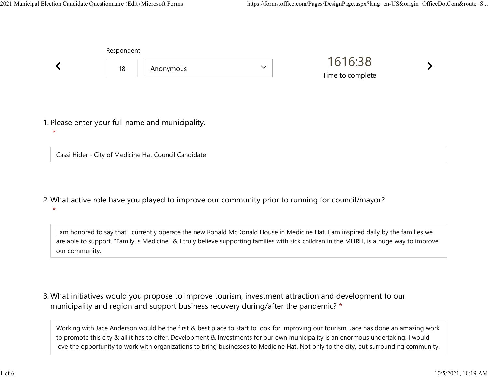| Respondent |                                                  |              |                             |  |
|------------|--------------------------------------------------|--------------|-----------------------------|--|
| 18         | Anonymous                                        | $\checkmark$ | 1616:38<br>Time to complete |  |
|            |                                                  |              |                             |  |
|            | 1. Please enter your full name and municipality. |              |                             |  |

Cassi Hider - City of Medicine Hat Council Candidate

What active role have you played to improve our community prior to running for council/mayor? 2. \*

I am honored to say that I currently operate the new Ronald McDonald House in Medicine Hat. I am inspired daily by the families we are able to support. "Family is Medicine" & I truly believe supporting families with sick children in the MHRH, is a huge way to improve our community.

What initiatives would you propose to improve tourism, investment attraction and development to our 3. municipality and region and support business recovery during/after the pandemic? \*

Working with Jace Anderson would be the first & best place to start to look for improving our tourism. Jace has done an amazing work to promote this city & all it has to offer. Development & Investments for our own municipality is an enormous undertaking. I would love the opportunity to work with organizations to bring businesses to Medicine Hat. Not only to the city, but surrounding community.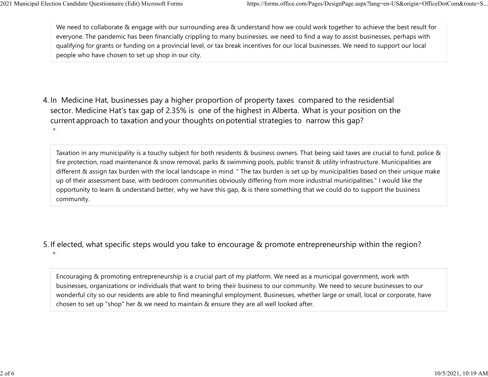We need to collaborate & engage with our surrounding area & understand how we could work together to achieve the best result for everyone. The pandemic has been financially crippling to many businesses. we need to find a way to assist businesses, perhaps with qualifying for grants or funding on a provincial level, or tax break incentives for our local businesses. We need to support our local people who have chosen to set up shop in our city. 2021 Municipal Election Candidate Questionnaire (Edit) Microsoft Forms https://forms.office.com/Pages/DesignPage.aspx?lang=en-US&origin=OfficeDotCom&route=S...<br>We need to collaborate & engage with our surrounding area & un

4. In Medicine Hat, businesses pay a higher proportion of property taxes compared to the residential sector.  Medicine Hat's tax gap of 2.35% is one of the highest in Alberta.  What is your position on the current approach to taxation and your thoughts on potential strategies to narrow this gap? \*

Taxation in any municipality is a touchy subject for both residents & business owners. That being said taxes are crucial to fund, police & fire protection, road maintenance & snow removal, parks & swimming pools, public transit & utility infrastructure. Municipalities are different & assign tax burden with the local landscape in mind. " The tax burden is set up by municipalities based on their unique make up of their assessment base, with bedroom communities obviously differing from more industrial municipalities." I would like the opportunity to learn & understand better, why we have this gap, & is there something that we could do to support the business community.

5. If elected, what specific steps would you take to encourage & promote entrepreneurship within the region?

\*

Encouraging & promoting entrepreneurship is a crucial part of my platform. We need as a municipal government, work with businesses, organizations or individuals that want to bring their business to our community. We need to secure businesses to our wonderful city so our residents are able to find meaningful employment. Businesses, whether large or small, local or corporate, have chosen to set up "shop" her & we need to maintain & ensure they are all well looked after.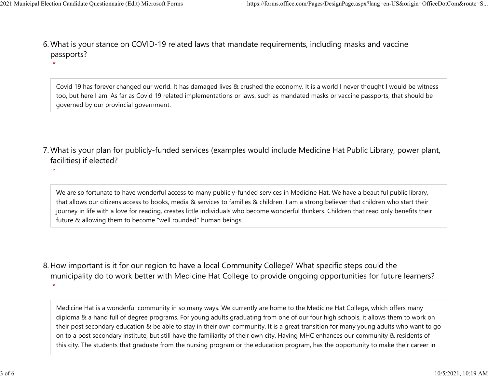\*

What is your stance on COVID-19 related laws that mandate requirements, including masks and vaccine 6. passports? 2021 Municipal Election Candidate Questionnaire (Edit) Microsoft Forms https://forms.office.com/Pages/DesignPage.aspx?lang=en-US&origin=OfficeDotCom&route=S...<br>6 Mhat is vour stance on COVID-19 related laws that mandate re

> Covid 19 has forever changed our world. It has damaged lives & crushed the economy. It is a world I never thought I would be witness too, but here I am. As far as Covid 19 related implementations or laws, such as mandated masks or vaccine passports, that should be governed by our provincial government.

- What is your plan for publicly-funded services (examples would include Medicine Hat Public Library, power plant, 7. facilities) if elected?
	- We are so fortunate to have wonderful access to many publicly-funded services in Medicine Hat. We have a beautiful public library, that allows our citizens access to books, media & services to families & children. I am a strong believer that children who start their journey in life with a love for reading, creates little individuals who become wonderful thinkers. Children that read only benefits their future & allowing them to become "well rounded" human beings.
- 8. How important is it for our region to have a local Community College? What specific steps could the municipality do to work better with Medicine Hat College to provide ongoing opportunities for future learners? \*

Medicine Hat is a wonderful community in so many ways. We currently are home to the Medicine Hat College, which offers many diploma & a hand full of degree programs. For young adults graduating from one of our four high schools, it allows them to work on their post secondary education & be able to stay in their own community. It is a great transition for many young adults who want to go on to a post secondary institute, but still have the familiarity of their own city. Having MHC enhances our community & residents of this city. The students that graduate from the nursing program or the education program, has the opportunity to make their career in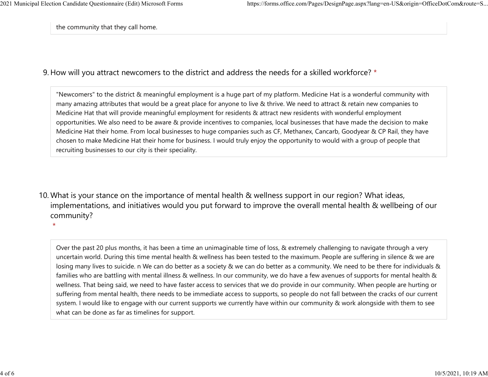the community that they call home.

## 9. How will you attract newcomers to the district and address the needs for a skilled workforce? \*

"Newcomers" to the district & meaningful employment is a huge part of my platform. Medicine Hat is a wonderful community with many amazing attributes that would be a great place for anyone to live & thrive. We need to attract & retain new companies to Medicine Hat that will provide meaningful employment for residents & attract new residents with wonderful employment opportunities. We also need to be aware & provide incentives to companies, local businesses that have made the decision to make Medicine Hat their home. From local businesses to huge companies such as CF, Methanex, Cancarb, Goodyear & CP Rail, they have chosen to make Medicine Hat their home for business. I would truly enjoy the opportunity to would with a group of people that recruiting businesses to our city is their speciality.

10. What is your stance on the importance of mental health & wellness support in our region? What ideas, implementations, and initiatives would you put forward to improve the overall mental health & wellbeing of our community?

Over the past 20 plus months, it has been a time an unimaginable time of loss, & extremely challenging to navigate through a very uncertain world. During this time mental health & wellness has been tested to the maximum. People are suffering in silence & we are losing many lives to suicide. n We can do better as a society & we can do better as a community. We need to be there for individuals & families who are battling with mental illness & wellness. In our community, we do have a few avenues of supports for mental health & wellness. That being said, we need to have faster access to services that we do provide in our community. When people are hurting or suffering from mental health, there needs to be immediate access to supports, so people do not fall between the cracks of our current system. I would like to engage with our current supports we currently have within our community & work alongside with them to see what can be done as far as timelines for support.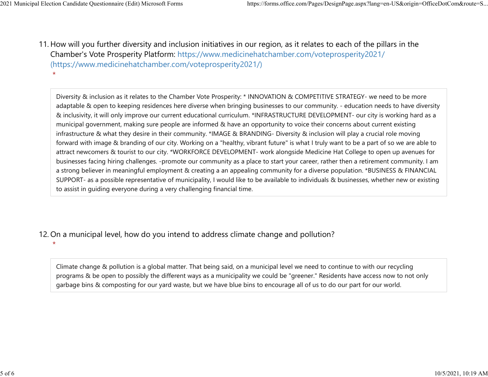11. How will you further diversity and inclusion initiatives in our region, as it relates to each of the pillars in the Chamber's Vote Prosperity Platform: https://www.medicinehatchamber.com/voteprosperity2021/ (https://www.medicinehatchamber.com/voteprosperity2021/) 2021 Municipal Election Candidate Questionnaire (Edit) Microsoft Forms https://forms.office.com/Pages/DesignPage.aspx?lang=en-US&origin=OfficeDotCom&route=S...<br>11 How will you further diversity and inclusion initiatives in

> Diversity & inclusion as it relates to the Chamber Vote Prosperity: \* INNOVATION & COMPETITIVE STRATEGY- we need to be more adaptable & open to keeping residences here diverse when bringing businesses to our community. - education needs to have diversity & inclusivity, it will only improve our current educational curriculum. \*INFRASTRUCTURE DEVELOPMENT- our city is working hard as a municipal government, making sure people are informed & have an opportunity to voice their concerns about current existing infrastructure & what they desire in their community. \*IMAGE & BRANDING- Diversity & inclusion will play a crucial role moving forward with image & branding of our city. Working on a "healthy, vibrant future" is what I truly want to be a part of so we are able to attract newcomers & tourist to our city. \*WORKFORCE DEVELOPMENT- work alongside Medicine Hat College to open up avenues for businesses facing hiring challenges. -promote our community as a place to start your career, rather then a retirement community. I am a strong believer in meaningful employment & creating a an appealing community for a diverse population. \*BUSINESS & FINANCIAL SUPPORT- as a possible representative of municipality, I would like to be available to individuals & businesses, whether new or existing to assist in guiding everyone during a very challenging financial time.

- 12. On a municipal level, how do you intend to address climate change and pollution?
	- $\star$

Climate change & pollution is a global matter. That being said, on a municipal level we need to continue to with our recycling programs & be open to possibly the different ways as a municipality we could be "greener." Residents have access now to not only garbage bins & composting for our yard waste, but we have blue bins to encourage all of us to do our part for our world.